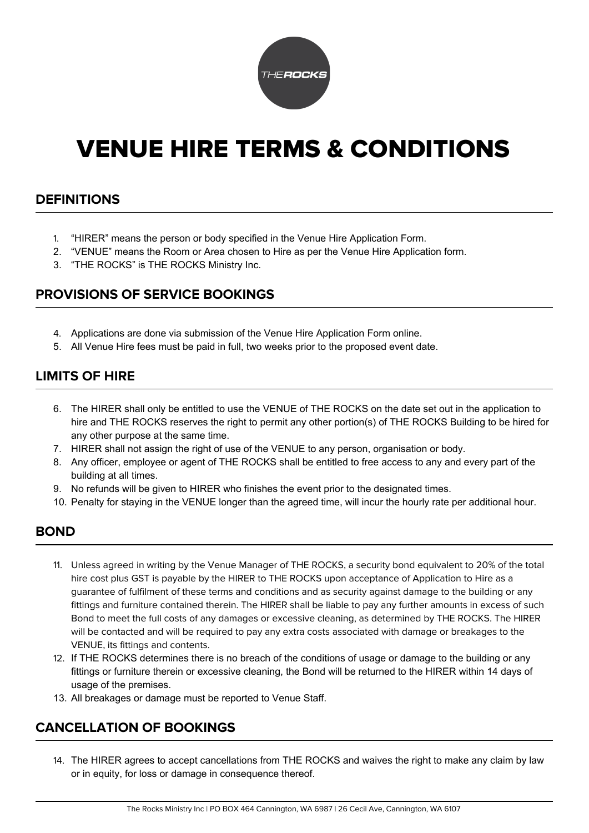

# VENUE HIRE TERMS & CONDITIONS

## **DEFINITIONS**

- 1. "HIRER" means the person or body specified in the Venue Hire Application Form.
- 2. "VENUE" means the Room or Area chosen to Hire as per the Venue Hire Application form.
- 3. "THE ROCKS" is THE ROCKS Ministry Inc.

## **PROVISIONS OF SERVICE BOOKINGS**

- 4. Applications are done via submission of the Venue Hire Application Form online.
- 5. All Venue Hire fees must be paid in full, two weeks prior to the proposed event date.

## **LIMITS OF HIRE**

- 6. The HIRER shall only be entitled to use the VENUE of THE ROCKS on the date set out in the application to hire and THE ROCKS reserves the right to permit any other portion(s) of THE ROCKS Building to be hired for any other purpose at the same time.
- 7. HIRER shall not assign the right of use of the VENUE to any person, organisation or body.
- 8. Any officer, employee or agent of THE ROCKS shall be entitled to free access to any and every part of the building at all times.
- 9. No refunds will be given to HIRER who finishes the event prior to the designated times.
- 10. Penalty for staying in the VENUE longer than the agreed time, will incur the hourly rate per additional hour.

#### **BOND**

- 11. Unless agreed in writing by the Venue Manager of THE ROCKS, a security bond equivalent to 20% of the total hire cost plus GST is payable by the HIRER to THE ROCKS upon acceptance of Application to Hire as a guarantee of fulfilment of these terms and conditions and as security against damage to the building or any fittings and furniture contained therein. The HIRER shall be liable to pay any further amounts in excess of such Bond to meet the full costs of any damages or excessive cleaning, as determined by THE ROCKS. The HIRER will be contacted and will be required to pay any extra costs associated with damage or breakages to the VENUE, its fittings and contents.
- 12. If THE ROCKS determines there is no breach of the conditions of usage or damage to the building or any fittings or furniture therein or excessive cleaning, the Bond will be returned to the HIRER within 14 days of usage of the premises.
- 13. All breakages or damage must be reported to Venue Staff.

# **CANCELLATION OF BOOKINGS**

14. The HIRER agrees to accept cancellations from THE ROCKS and waives the right to make any claim by law or in equity, for loss or damage in consequence thereof.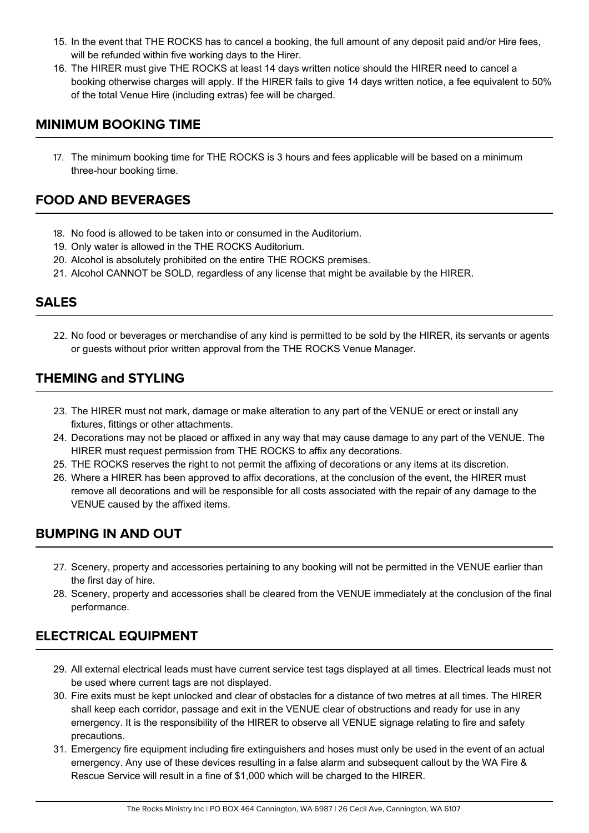- 15. In the event that THE ROCKS has to cancel a booking, the full amount of any deposit paid and/or Hire fees, will be refunded within five working days to the Hirer.
- 16. The HIRER must give THE ROCKS at least 14 days written notice should the HIRER need to cancel a booking otherwise charges will apply. If the HIRER fails to give 14 days written notice, a fee equivalent to 50% of the total Venue Hire (including extras) fee will be charged.

#### **MINIMUM BOOKING TIME**

17. The minimum booking time for THE ROCKS is 3 hours and fees applicable will be based on a minimum three-hour booking time.

# **FOOD AND BEVERAGES**

- 18. No food is allowed to be taken into or consumed in the Auditorium.
- 19. Only water is allowed in the THE ROCKS Auditorium.
- 20. Alcohol is absolutely prohibited on the entire THE ROCKS premises.
- 21. Alcohol CANNOT be SOLD, regardless of any license that might be available by the HIRER.

## **SALES**

22. No food or beverages or merchandise of any kind is permitted to be sold by the HIRER, its servants or agents or guests without prior written approval from the THE ROCKS Venue Manager.

## **THEMING and STYLING**

- 23. The HIRER must not mark, damage or make alteration to any part of the VENUE or erect or install any fixtures, fittings or other attachments.
- 24. Decorations may not be placed or affixed in any way that may cause damage to any part of the VENUE. The HIRER must request permission from THE ROCKS to affix any decorations.
- 25. THE ROCKS reserves the right to not permit the affixing of decorations or any items at its discretion.
- 26. Where a HIRER has been approved to affix decorations, at the conclusion of the event, the HIRER must remove all decorations and will be responsible for all costs associated with the repair of any damage to the VENUE caused by the affixed items.

## **BUMPING IN AND OUT**

- 27. Scenery, property and accessories pertaining to any booking will not be permitted in the VENUE earlier than the first day of hire.
- 28. Scenery, property and accessories shall be cleared from the VENUE immediately at the conclusion of the final performance.

# **ELECTRICAL EQUIPMENT**

- 29. All external electrical leads must have current service test tags displayed at all times. Electrical leads must not be used where current tags are not displayed.
- 30. Fire exits must be kept unlocked and clear of obstacles for a distance of two metres at all times. The HIRER shall keep each corridor, passage and exit in the VENUE clear of obstructions and ready for use in any emergency. It is the responsibility of the HIRER to observe all VENUE signage relating to fire and safety precautions.
- 31. Emergency fire equipment including fire extinguishers and hoses must only be used in the event of an actual emergency. Any use of these devices resulting in a false alarm and subsequent callout by the WA Fire & Rescue Service will result in a fine of \$1,000 which will be charged to the HIRER.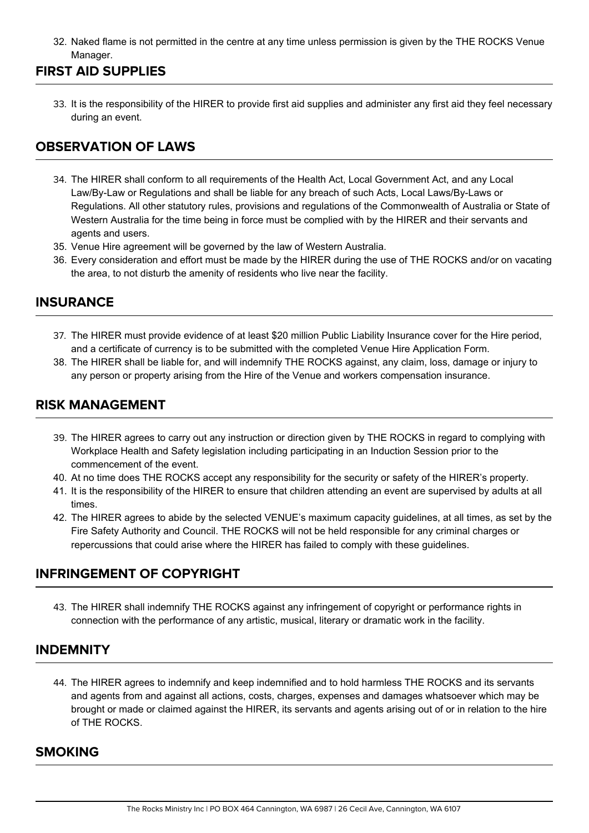32. Naked flame is not permitted in the centre at any time unless permission is given by the THE ROCKS Venue Manager.

## **FIRST AID SUPPLIES**

33. It is the responsibility of the HIRER to provide first aid supplies and administer any first aid they feel necessary during an event.

## **OBSERVATION OF LAWS**

- 34. The HIRER shall conform to all requirements of the Health Act, Local Government Act, and any Local Law/By-Law or Regulations and shall be liable for any breach of such Acts, Local Laws/By-Laws or Regulations. All other statutory rules, provisions and regulations of the Commonwealth of Australia or State of Western Australia for the time being in force must be complied with by the HIRER and their servants and agents and users.
- 35. Venue Hire agreement will be governed by the law of Western Australia.
- 36. Every consideration and effort must be made by the HIRER during the use of THE ROCKS and/or on vacating the area, to not disturb the amenity of residents who live near the facility.

#### **INSURANCE**

- 37. The HIRER must provide evidence of at least \$20 million Public Liability Insurance cover for the Hire period, and a certificate of currency is to be submitted with the completed Venue Hire Application Form.
- 38. The HIRER shall be liable for, and will indemnify THE ROCKS against, any claim, loss, damage or injury to any person or property arising from the Hire of the Venue and workers compensation insurance.

#### **RISK MANAGEMENT**

- 39. The HIRER agrees to carry out any instruction or direction given by THE ROCKS in regard to complying with Workplace Health and Safety legislation including participating in an Induction Session prior to the commencement of the event.
- 40. At no time does THE ROCKS accept any responsibility for the security or safety of the HIRER's property.
- 41. It is the responsibility of the HIRER to ensure that children attending an event are supervised by adults at all times.
- 42. The HIRER agrees to abide by the selected VENUE's maximum capacity guidelines, at all times, as set by the Fire Safety Authority and Council. THE ROCKS will not be held responsible for any criminal charges or repercussions that could arise where the HIRER has failed to comply with these guidelines.

# **INFRINGEMENT OF COPYRIGHT**

43. The HIRER shall indemnify THE ROCKS against any infringement of copyright or performance rights in connection with the performance of any artistic, musical, literary or dramatic work in the facility.

## **INDEMNITY**

44. The HIRER agrees to indemnify and keep indemnified and to hold harmless THE ROCKS and its servants and agents from and against all actions, costs, charges, expenses and damages whatsoever which may be brought or made or claimed against the HIRER, its servants and agents arising out of or in relation to the hire of THE ROCKS.

#### **SMOKING**